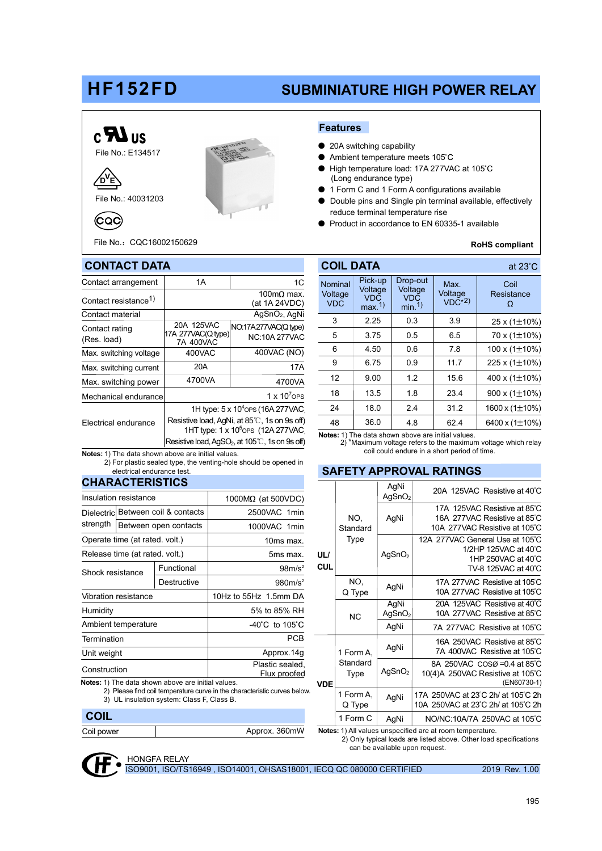# HF152FD

## SUBMINIATURE HIGH POWER RELAY



File No.: 40031203

⁄D^E

(CQC)



File No.:CQC16002150629



- 20A switching capability
- Ambient temperature meets 105°C
- High temperature load: 17A 277VAC at 105°C (Long endurance type)
- 1 Form C and 1 Form A configurations available
- Double pins and Single pin terminal available, effectively reduce terminal temperature rise
- Product in accordance to EN 60335-1 available

#### RoHS compliant

at 23°C

| <b>CONTACT DATA</b>                                       | <b>COIL DATA</b>                                                                                              |                                     |         |                                 |
|-----------------------------------------------------------|---------------------------------------------------------------------------------------------------------------|-------------------------------------|---------|---------------------------------|
| Contact arrangement                                       | 1A<br>1C                                                                                                      |                                     | Nominal | Pick-u<br>Voltag<br>VDC<br>max. |
| Contact resistance <sup>1)</sup>                          |                                                                                                               | Voltage<br><b>VDC</b>               |         |                                 |
| Contact material                                          |                                                                                                               | 3                                   | 2.25    |                                 |
| Contact rating<br>(Res. load)                             | 20A 125VAC                                                                                                    | NO:17A277VAC(Q type)                |         |                                 |
|                                                           | 17A 277VAC(Q type)<br>7A 400VAC                                                                               | <b>NC:10A 277VAC</b>                | 5       | 3.75                            |
| Max. switching voltage                                    | 400VAC                                                                                                        | 400VAC (NO)                         | 6       | 4.50                            |
| Max. switching current                                    | 20A                                                                                                           | 17A                                 | 9       | 6.75                            |
| Max. switching power                                      | 4700VA                                                                                                        | 4700VA                              | 12      | 9.00                            |
| Mechanical endurance                                      |                                                                                                               | 18                                  | 13.5    |                                 |
| Electrical endurance                                      | 1H type: 5 x 10 <sup>4</sup> OPS (16A 277 VAC)                                                                | 24                                  | 18.0    |                                 |
|                                                           | Resistive load, AgNi, at 85°C, 1s on 9s off)                                                                  | 48                                  | 36.0    |                                 |
|                                                           | 1HT type: 1 x 10 <sup>5</sup> OPS (12A 277VAC)<br>Resistive load, AgSO <sub>2</sub> , at 105°C, 1s on 9s off) | Notes: 1) The data s<br>2) *Maximun |         |                                 |
| <b>Notes:</b> 1) The data shown above are initial values. |                                                                                                               |                                     |         | coil c                          |

2) For plastic sealed type, the venting-hole should be opened in electrical endurance test.

### **CHARACTERISTICS**

| Insulation resistance          |                                    |                                                     | 1000 $M\Omega$ (at 500VDC)          |  |  |  |  |
|--------------------------------|------------------------------------|-----------------------------------------------------|-------------------------------------|--|--|--|--|
|                                | Dielectric Between coil & contacts |                                                     | 2500VAC 1min                        |  |  |  |  |
| strength                       |                                    | Between open contacts                               | 1000VAC 1min                        |  |  |  |  |
| Operate time (at rated. volt.) |                                    |                                                     | 10ms max.                           |  |  |  |  |
| Release time (at rated. volt.) |                                    |                                                     | 5ms max.                            |  |  |  |  |
| Shock resistance               |                                    | Functional                                          | 98m/s <sup>2</sup>                  |  |  |  |  |
|                                |                                    | Destructive                                         | 980m/s <sup>2</sup>                 |  |  |  |  |
| Vibration resistance           |                                    |                                                     | 10Hz to 55Hz 1.5mm DA               |  |  |  |  |
| Humidity                       |                                    |                                                     | 5% to 85% RH                        |  |  |  |  |
| Ambient temperature            |                                    |                                                     | $-40^{\circ}$ C to 105 $^{\circ}$ C |  |  |  |  |
| Termination                    |                                    |                                                     | PCB                                 |  |  |  |  |
| Unit weight                    |                                    |                                                     | Approx.14g                          |  |  |  |  |
| Construction                   |                                    |                                                     | Plastic sealed,<br>Flux proofed     |  |  |  |  |
|                                |                                    | Natas: 4) The deta chouse chouse are initial upluse |                                     |  |  |  |  |

The data shown above are initial values 2) Please find coil temperature curve in the characteristic curves below.

3) UL insulation system: Class F, Class B.

# Coil power **Approx. 360mW** Notes: 1) All values unspecified are at room temperature. **COIL**

Voltage<br>VDC<sup>\*2)</sup> 5 6 9 12 18 24 48 6.5 7.8 11.7 15.6 23.4 31.2 62.4  $70 \times (1 \pm 10\%)$ 100 x  $(1 \pm 10\%)$  $225 x (1 \pm 10\%)$ 400 x  $(1\pm 10\%)$ 900 x  $(1\pm 10\%)$  $1600 \times (1 \pm 10\%)$ 6400 x ( $1\pm10\%$ ) 0.5 0.6 0.9 1.2 1.8 2.4 4.8 3 2.25 0.3 3.9 25 x (1 $\pm$ 10%) lominal Voltage **VDC** Coil Resistance<br> $\Omega$ Pick-up Voltage VDC max.1) Drop-out Voltage VDC min.1) Max. VDC 3.75 4.50 6.75 9.00 13.5 18.0 36.0 2.25

Notes: 1) The data shown above are initial values.<br>2) \*Maximum voltage refers to the maximum voltage which relay coil could endure in a short period of time.

### SAFETY APPROVAL RATINGS

| <b>UL/</b><br><b>CUL</b> | NO.<br>Standard<br>Type       | AgNi<br>AgSnO <sub>2</sub> | 20A 125VAC Resistive at 40°C                                                                         |
|--------------------------|-------------------------------|----------------------------|------------------------------------------------------------------------------------------------------|
|                          |                               | AgNi                       | 17A 125VAC Resistive at 85°C<br>16A 277VAC Resistive at 85°C<br>10A 277VAC Resistive at 105°C        |
|                          |                               | AgSnO <sub>2</sub>         | 12A 277VAC General Use at 105°C<br>1/2HP 125VAC at 40°C<br>1HP 250VAC at 40°C<br>TV-8 125VAC at 40°C |
|                          | NO.<br>Q Type                 | AgNi                       | 17A 277VAC Resistive at 105°C<br>10A 277VAC Resistive at 105°C                                       |
|                          | <b>NC</b>                     | AgNi<br>AgSnO <sub>2</sub> | 20A 125VAC Resistive at 40°C<br>10A 277VAC Resistive at 85°C                                         |
|                          |                               | AgNi                       | 7A 277VAC Resistive at 105°C                                                                         |
| <b>VDE</b>               | 1 Form A,<br>Standard<br>Type | AgNi                       | 16A 250VAC Resistive at 85°C<br>7A 400VAC Resistive at 105°C                                         |
|                          |                               | AgSnO <sub>2</sub>         | 8A 250VAC COSØ=0.4 at 85°C<br>10(4)A 250VAC Resistive at 105°C<br>(EN60730-1)                        |
|                          | 1 Form A,<br>Q Type           | AgNi                       | 17A 250VAC at 23°C 2h/ at 105°C 2h<br>10A 250VAC at 23°C 2h/ at 105°C 2h                             |
|                          | 1 Form C                      | AgNi                       | NO/NC:10A/7A 250VAC at 105°C                                                                         |

 2) Only typical loads are listed above. Other load specifications can be available upon request.



ISO9001, ISO/TS16949 , ISO14001, OHSAS18001, IECQ QC 080000 CERTIFIED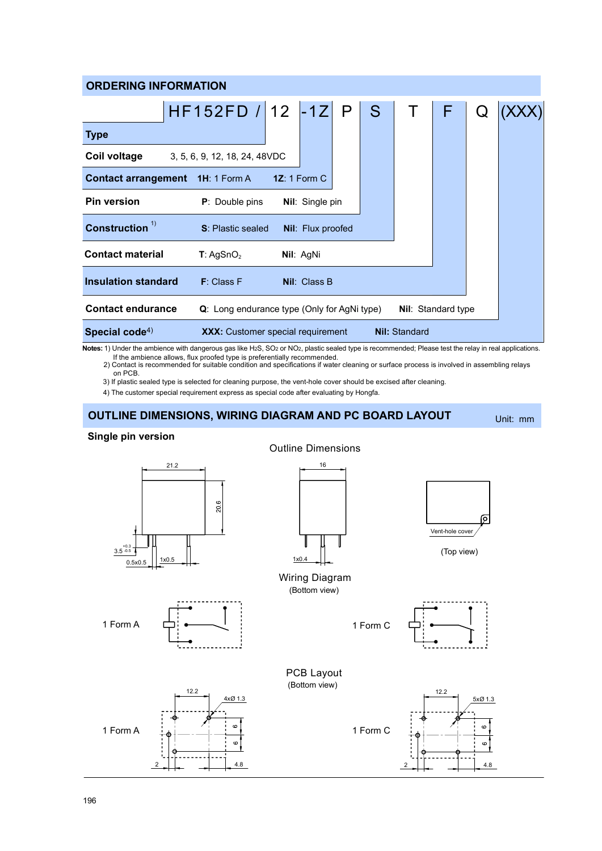| <b>ORDERING INFORMATION</b>                                                                    |                                                |  |                        |  |   |                           |   |  |  |
|------------------------------------------------------------------------------------------------|------------------------------------------------|--|------------------------|--|---|---------------------------|---|--|--|
|                                                                                                | $HF152FD$ / 12 -1Z P                           |  |                        |  | S | $\top$                    | F |  |  |
| <b>Type</b>                                                                                    |                                                |  |                        |  |   |                           |   |  |  |
| Coil voltage                                                                                   | 3, 5, 6, 9, 12, 18, 24, 48VDC                  |  |                        |  |   |                           |   |  |  |
|                                                                                                | <b>Contact arrangement 1H: 1 Form A</b>        |  | 1 $Z: 1$ Form C        |  |   |                           |   |  |  |
| <b>Pin version</b>                                                                             | <b>P</b> : Double pins                         |  | <b>Nil:</b> Single pin |  |   |                           |   |  |  |
| Construction <sup>1)</sup><br><b>S</b> : Plastic sealed<br><b>Nil:</b> Flux proofed            |                                                |  |                        |  |   |                           |   |  |  |
| <b>Contact material</b>                                                                        | T:AgSnO <sub>2</sub>                           |  | Nil: AgNi              |  |   |                           |   |  |  |
| <b>Insulation standard</b>                                                                     | F: Class F                                     |  | <b>Nil: Class B</b>    |  |   |                           |   |  |  |
| <b>Contact endurance</b>                                                                       | $Q$ : Long endurance type (Only for AgNi type) |  |                        |  |   | <b>Nil:</b> Standard type |   |  |  |
| Special code <sup>4)</sup><br><b>Nil: Standard</b><br><b>XXX:</b> Customer special requirement |                                                |  |                        |  |   |                           |   |  |  |

Notes: 1) Under the ambience with dangerous gas like H2S, SO2 or NO2, plastic sealed type is recommended; Please test the relay in real applications.

2) Contact is recommended for suitable condition and specifications if water cleaning or surface process is involved in assembling relays If the ambience allows, flux proofed type is preferentially recommended. on PCB.

3) If plastic sealed type is selected for cleaning purpose, the vent-hole cover should be excised after cleaning.

4) The customer special requirement express as special code after evaluating by Hongfa.

## OUTLINE DIMENSIONS, WIRING DIAGRAM AND PC BOARD LAYOUT Unit: mm

### Single pin version